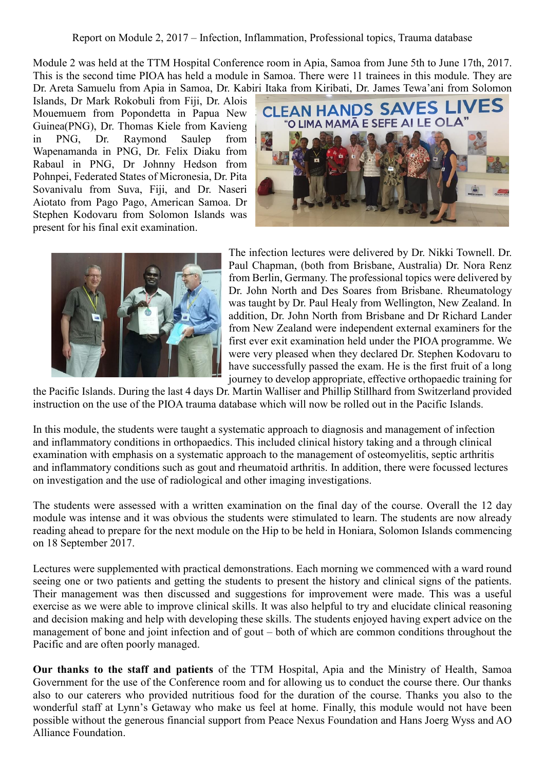Report on Module 2, 2017 – Infection, Inflammation, Professional topics, Trauma database

Module 2 was held at the TTM Hospital Conference room in Apia, Samoa from June 5th to June 17th, 2017. This is the second time PIOA has held a module in Samoa. There were 11 trainees in this module. They are Dr. Areta Samuelu from Apia in Samoa, Dr. Kabiri Itaka from Kiribati, Dr. James Tewa'ani from Solomon

Islands, Dr Mark Rokobuli from Fiji, Dr. Alois Mouemuem from Popondetta in Papua New Guinea(PNG), Dr. Thomas Kiele from Kavieng in PNG, Dr. Raymond Saulep from Wapenamanda in PNG, Dr. Felix Diaku from Rabaul in PNG, Dr Johnny Hedson from Pohnpei, Federated States of Micronesia, Dr. Pita Sovanivalu from Suva, Fiji, and Dr. Naseri Aiotato from Pago Pago, American Samoa. Dr Stephen Kodovaru from Solomon Islands was present for his final exit examination.





The infection lectures were delivered by Dr. Nikki Townell. Dr. Paul Chapman, (both from Brisbane, Australia) Dr. Nora Renz from Berlin, Germany. The professional topics were delivered by Dr. John North and Des Soares from Brisbane. Rheumatology was taught by Dr. Paul Healy from Wellington, New Zealand. In addition, Dr. John North from Brisbane and Dr Richard Lander from New Zealand were independent external examiners for the first ever exit examination held under the PIOA programme. We were very pleased when they declared Dr. Stephen Kodovaru to have successfully passed the exam. He is the first fruit of a long journey to develop appropriate, effective orthopaedic training for

the Pacific Islands. During the last 4 days Dr. Martin Walliser and Phillip Stillhard from Switzerland provided instruction on the use of the PIOA trauma database which will now be rolled out in the Pacific Islands.

In this module, the students were taught a systematic approach to diagnosis and management of infection and inflammatory conditions in orthopaedics. This included clinical history taking and a through clinical examination with emphasis on a systematic approach to the management of osteomyelitis, septic arthritis and inflammatory conditions such as gout and rheumatoid arthritis. In addition, there were focussed lectures on investigation and the use of radiological and other imaging investigations.

The students were assessed with a written examination on the final day of the course. Overall the 12 day module was intense and it was obvious the students were stimulated to learn. The students are now already reading ahead to prepare for the next module on the Hip to be held in Honiara, Solomon Islands commencing on 18 September 2017.

Lectures were supplemented with practical demonstrations. Each morning we commenced with a ward round seeing one or two patients and getting the students to present the history and clinical signs of the patients. Their management was then discussed and suggestions for improvement were made. This was a useful exercise as we were able to improve clinical skills. It was also helpful to try and elucidate clinical reasoning and decision making and help with developing these skills. The students enjoyed having expert advice on the management of bone and joint infection and of gout – both of which are common conditions throughout the Pacific and are often poorly managed.

**Our thanks to the staff and patients** of the TTM Hospital, Apia and the Ministry of Health, Samoa Government for the use of the Conference room and for allowing us to conduct the course there. Our thanks also to our caterers who provided nutritious food for the duration of the course. Thanks you also to the wonderful staff at Lynn's Getaway who make us feel at home. Finally, this module would not have been possible without the generous financial support from Peace Nexus Foundation and Hans Joerg Wyss and AO Alliance Foundation.